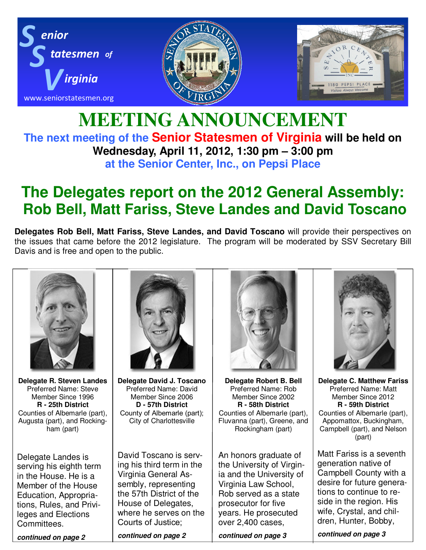

### **MEETING ANNOUNCEMENT The next meeting of the Senior Statesmen of Virginia will be held on Wednesday, April 11, 2012, 1:30 pm – 3:00 pm at the Senior Center, Inc., on Pepsi Place**

# **The Delegates report on the 2012 General Assembly: Rob Bell, Matt Fariss, Steve Landes and David Toscano**

**Delegates Rob Bell, Matt Fariss, Steve Landes, and David Toscano** will provide their perspectives on the issues that came before the 2012 legislature. The program will be moderated by SSV Secretary Bill Davis and is free and open to the public.



**Delegate R. Steven Landes** Preferred Name: Steve Member Since 1996 **R - 25th District** Counties of Albemarle (part), Augusta (part), and Rockingham (part)

Delegate Landes is serving his eighth term in the House. He is a Member of the House Education, Appropriations, Rules, and Privileges and Elections Committees.

*continued on page 2* 



**Delegate David J. Toscano** Preferred Name: David Member Since 2006 **D - 57th District** County of Albemarle (part); City of Charlottesville

David Toscano is serving his third term in the Virginia General Assembly, representing the 57th District of the House of Delegates, where he serves on the Courts of Justice;

*continued on page 2* 



**Delegate Robert B. Bell** Preferred Name: Rob Member Since 2002 **R - 58th District** Counties of Albemarle (part), Fluvanna (part), Greene, and Rockingham (part)

An honors graduate of the University of Virginia and the University of Virginia Law School, Rob served as a state prosecutor for five years. He prosecuted over 2,400 cases,





**Delegate C. Matthew Fariss** Preferred Name: Matt Member Since 2012 **R - 59th District** Counties of Albemarle (part), Appomattox, Buckingham, Campbell (part), and Nelson (part)

Matt Fariss is a seventh generation native of Campbell County with a desire for future generations to continue to reside in the region. His wife, Crystal, and children, Hunter, Bobby,

*continued on page 3*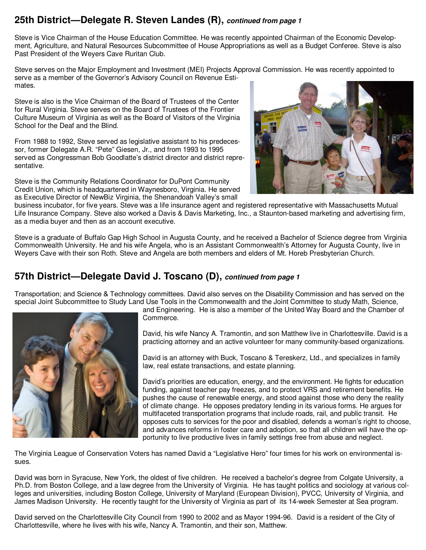#### **25th District—Delegate R. Steven Landes (R),** *continued from page 1*

Steve is Vice Chairman of the House Education Committee. He was recently appointed Chairman of the Economic Development, Agriculture, and Natural Resources Subcommittee of House Appropriations as well as a Budget Conferee. Steve is also Past President of the Weyers Cave Ruritan Club.

Steve serves on the Major Employment and Investment (MEI) Projects Approval Commission. He was recently appointed to serve as a member of the Governor's Advisory Council on Revenue Estimates.

Steve is also is the Vice Chairman of the Board of Trustees of the Center for Rural Virginia. Steve serves on the Board of Trustees of the Frontier Culture Museum of Virginia as well as the Board of Visitors of the Virginia School for the Deaf and the Blind.

From 1988 to 1992, Steve served as legislative assistant to his predecessor, former Delegate A.R. "Pete" Giesen, Jr., and from 1993 to 1995 served as Congressman Bob Goodlatte's district director and district representative.

Steve is the Community Relations Coordinator for DuPont Community Credit Union, which is headquartered in Waynesboro, Virginia. He served as Executive Director of NewBiz Virginia, the Shenandoah Valley's small



business incubator, for five years. Steve was a life insurance agent and registered representative with Massachusetts Mutual Life Insurance Company. Steve also worked a Davis & Davis Marketing, Inc., a Staunton-based marketing and advertising firm, as a media buyer and then as an account executive.

Steve is a graduate of Buffalo Gap High School in Augusta County, and he received a Bachelor of Science degree from Virginia Commonwealth University. He and his wife Angela, who is an Assistant Commonwealth's Attorney for Augusta County, live in Weyers Cave with their son Roth. Steve and Angela are both members and elders of Mt. Horeb Presbyterian Church.

#### **57th District—Delegate David J. Toscano (D),** *continued from page 1*

Transportation; and Science & Technology committees. David also serves on the Disability Commission and has served on the special Joint Subcommittee to Study Land Use Tools in the Commonwealth and the Joint Committee to study Math, Science,



and Engineering. He is also a member of the United Way Board and the Chamber of Commerce.

David, his wife Nancy A. Tramontin, and son Matthew live in Charlottesville. David is a practicing attorney and an active volunteer for many community-based organizations.

David is an attorney with Buck, Toscano & Tereskerz, Ltd., and specializes in family law, real estate transactions, and estate planning.

David's priorities are education, energy, and the environment. He fights for education funding, against teacher pay freezes, and to protect VRS and retirement benefits. He pushes the cause of renewable energy, and stood against those who deny the reality of climate change. He opposes predatory lending in its various forms. He argues for multifaceted transportation programs that include roads, rail, and public transit. He opposes cuts to services for the poor and disabled, defends a woman's right to choose, and advances reforms in foster care and adoption, so that all children will have the opportunity to live productive lives in family settings free from abuse and neglect.

The Virginia League of Conservation Voters has named David a "Legislative Hero" four times for his work on environmental issues.

David was born in Syracuse, New York, the oldest of five children. He received a bachelor's degree from Colgate University, a Ph.D. from Boston College, and a law degree from the University of Virginia. He has taught politics and sociology at various colleges and universities, including Boston College, University of Maryland (European Division), PVCC, University of Virginia, and James Madison University. He recently taught for the University of Virginia as part of its 14-week Semester at Sea program.

David served on the Charlottesville City Council from 1990 to 2002 and as Mayor 1994-96. David is a resident of the City of Charlottesville, where he lives with his wife, Nancy A. Tramontin, and their son, Matthew.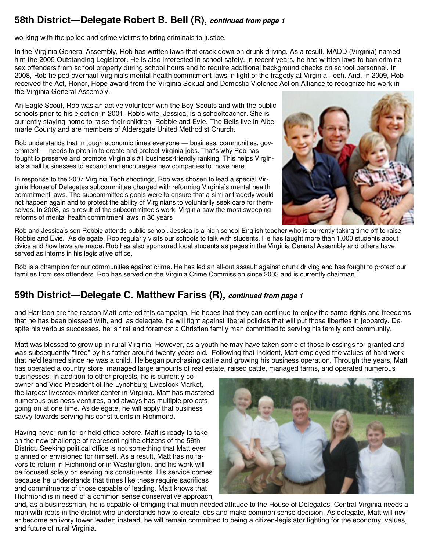#### **58th District—Delegate Robert B. Bell (R),** *continued from page 1*

working with the police and crime victims to bring criminals to justice.

In the Virginia General Assembly, Rob has written laws that crack down on drunk driving. As a result, MADD (Virginia) named him the 2005 Outstanding Legislator. He is also interested in school safety. In recent years, he has written laws to ban criminal sex offenders from school property during school hours and to require additional background checks on school personnel. In 2008, Rob helped overhaul Virginia's mental health commitment laws in light of the tragedy at Virginia Tech. And, in 2009, Rob received the Act, Honor, Hope award from the Virginia Sexual and Domestic Violence Action Alliance to recognize his work in the Virginia General Assembly.

An Eagle Scout, Rob was an active volunteer with the Boy Scouts and with the public schools prior to his election in 2001. Rob's wife, Jessica, is a schoolteacher. She is currently staying home to raise their children, Robbie and Evie. The Bells live in Albemarle County and are members of Aldersgate United Methodist Church.

Rob understands that in tough economic times everyone — business, communities, government — needs to pitch in to create and protect Virginia jobs. That's why Rob has fought to preserve and promote Virginia's #1 business-friendly ranking. This helps Virginia's small businesses to expand and encourages new companies to move here.

In response to the 2007 Virginia Tech shootings, Rob was chosen to lead a special Virginia House of Delegates subcommittee charged with reforming Virginia's mental health commitment laws. The subcommittee's goals were to ensure that a similar tragedy would not happen again and to protect the ability of Virginians to voluntarily seek care for themselves. In 2008, as a result of the subcommittee's work, Virginia saw the most sweeping reforms of mental health commitment laws in 30 years



Rob and Jessica's son Robbie attends public school. Jessica is a high school English teacher who is currently taking time off to raise Robbie and Evie. As delegate, Rob regularly visits our schools to talk with students. He has taught more than 1,000 students about civics and how laws are made. Rob has also sponsored local students as pages in the Virginia General Assembly and others have served as interns in his legislative office.

Rob is a champion for our communities against crime. He has led an all-out assault against drunk driving and has fought to protect our families from sex offenders. Rob has served on the Virginia Crime Commission since 2003 and is currently chairman.

#### **59th District—Delegate C. Matthew Fariss (R),** *continued from page 1*

and Harrison are the reason Matt entered this campaign. He hopes that they can continue to enjoy the same rights and freedoms that he has been blessed with, and, as delegate, he will fight against liberal policies that will put those liberties in jeopardy. Despite his various successes, he is first and foremost a Christian family man committed to serving his family and community.

Matt was blessed to grow up in rural Virginia. However, as a youth he may have taken some of those blessings for granted and was subsequently "fired" by his father around twenty years old. Following that incident, Matt employed the values of hard work that he'd learned since he was a child. He began purchasing cattle and growing his business operation. Through the years, Matt has operated a country store, managed large amounts of real estate, raised cattle, managed farms, and operated numerous

businesses. In addition to other projects, he is currently coowner and Vice President of the Lynchburg Livestock Market, the largest livestock market center in Virginia. Matt has mastered numerous business ventures, and always has multiple projects going on at one time. As delegate, he will apply that business savvy towards serving his constituents in Richmond.

Having never run for or held office before, Matt is ready to take on the new challenge of representing the citizens of the 59th District. Seeking political office is not something that Matt ever planned or envisioned for himself. As a result, Matt has no favors to return in Richmond or in Washington, and his work will be focused solely on serving his constituents. His service comes because he understands that times like these require sacrifices and commitments of those capable of leading. Matt knows that Richmond is in need of a common sense conservative approach,



and, as a businessman, he is capable of bringing that much needed attitude to the House of Delegates. Central Virginia needs a man with roots in the district who understands how to create jobs and make common sense decision. As delegate, Matt will never become an ivory tower leader; instead, he will remain committed to being a citizen-legislator fighting for the economy, values, and future of rural Virginia.